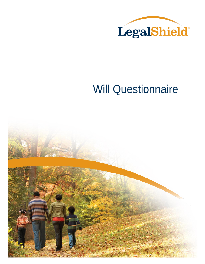

# Will Questionnaire

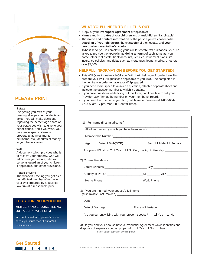

passing after pa taxes. You will regarding the p your estate you beneficiaries. And if you wish, you may leave specific items of property (car, investments, heirlooms, etc.) or sums of money to your beneficiaries.

#### **Will**

A document which provides who is to receive your property, who will administer your estate, who will serve as guardian of your children, if applicable, and other provisions.

#### **Peace of Mind**

The wonderful feeling you get as a LegalShield member after having your Will prepared by a qualified law firm at a reasonable price.

#### **FOR YOUR INFORMATION**

#### **MEMBER AND SPOUSE FILLING OUT A SEPARATE FORM**

In order to meet each person's unique needs, you must each fill out a Will **Questionnaire** 

1 2 3 4 5 6

**Get Started!**





|                      | 11 VUU 11<br>7757 (7 |
|----------------------|----------------------|
|                      |                      |
| own at your          |                      |
| ayment of debts and  |                      |
| make decisions       |                      |
| ercentage share of   | Fu<br>1)             |
| wish to give to your |                      |
|                      |                      |

#### **WHAT YOU'LL NEED TO FILL THIS OUT:**

#### • Copy of your **Prenuptial Agreement** (ifapplicable)

• **Names**and**birthdates**ofyour**children**and**grandchildren**(ifapplicable) • The **name and contact information** of the person you've chosen to be **guardian of your child(ren)**, the **trustee(s)** of their estate, and **your personalrepresentative/executor**

• To best serve you in completing your Will for **estate tax purposes**, you'll be asked to provide the approximate **dollar amount** of such items as: your home, other real estate, bank accounts, vehicles, retirement plans, life insurance policies, and debts such as mortgages, loans, medical or others over \$5,000.

#### **HELPFUL INFORMATION BEFORE YOU GET STARTED!**

• This Will Questionnaire is NOT your Will. It will help your Provider Law Firm prepare your Will. All questions applicable to you MUST be completed in their entirety in order to have your Willprepared.

If you need more space to answer a question, attach a separate sheet and indicate the question number to which it pertains.

If you have questions while filling out this form, don't hesitate to call your Provider Law Firm at the number on your membershipcard.

• If you need the number to your firm, call Member Services at 1-800-654 am - 7 pm, Mon-Fri, Central Time).

| All other names by which you have been known:                                                                                                                                                                                                                                                                                                                                                  |                                                                                  |
|------------------------------------------------------------------------------------------------------------------------------------------------------------------------------------------------------------------------------------------------------------------------------------------------------------------------------------------------------------------------------------------------|----------------------------------------------------------------------------------|
|                                                                                                                                                                                                                                                                                                                                                                                                |                                                                                  |
|                                                                                                                                                                                                                                                                                                                                                                                                | Age: ___ Date of Birth(DOB) __________________ Sex □ Male □ Female               |
|                                                                                                                                                                                                                                                                                                                                                                                                | Are you a US citizen? □ Yes or □ No if no, country of citizenship ______________ |
| 2) Current Residence                                                                                                                                                                                                                                                                                                                                                                           |                                                                                  |
|                                                                                                                                                                                                                                                                                                                                                                                                | Street Address __________________________________City __________________________ |
|                                                                                                                                                                                                                                                                                                                                                                                                |                                                                                  |
|                                                                                                                                                                                                                                                                                                                                                                                                | Home Phone <b>Example 2018</b> Work Phone <b>Work Phone</b>                      |
| 3) If you are married, your spouse's full name<br>$\begin{picture}(180,10) \put(0,0){\line(1,0){100}} \put(15,0){\line(1,0){100}} \put(15,0){\line(1,0){100}} \put(15,0){\line(1,0){100}} \put(15,0){\line(1,0){100}} \put(15,0){\line(1,0){100}} \put(15,0){\line(1,0){100}} \put(15,0){\line(1,0){100}} \put(15,0){\line(1,0){100}} \put(15,0){\line(1,0){100}} \put(15,0){\line(1,0){100}}$ |                                                                                  |
|                                                                                                                                                                                                                                                                                                                                                                                                |                                                                                  |
|                                                                                                                                                                                                                                                                                                                                                                                                | Are you currently living with your present spouse? $\Box$ Yes $\Box$ No          |
| disposes of separate spousal property? $\Box$ Yes $\Box$ No $\Box$ N/A<br>If yes, attach copy with any filing data.                                                                                                                                                                                                                                                                            | 4) Do you and your spouse have a Prenuptial Agreement which identifies and       |

\* Non-citizen estate taxation varies from taxation for US citizens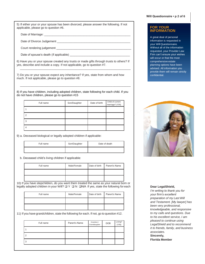5) If either your or your spouse has been divorced, please answer the following. If not applicable, please go to question #6.

Date of Marriage:

Date of Divorce Judgement \_\_\_\_\_\_\_\_\_\_\_\_\_\_\_\_\_\_\_\_\_\_\_\_\_\_\_\_\_\_\_\_\_\_\_\_\_\_\_\_\_\_\_\_\_

Court rendering judgement \_\_\_\_\_

Date of spouse's death (if applicable) \_\_\_\_\_\_\_\_\_\_\_\_\_\_\_\_\_\_\_\_\_\_\_\_\_\_\_\_\_\_\_\_\_\_\_\_\_

6) Have you or your spouse created any trusts or made gifts through trusts to others? If yes, describe and include a copy. If not applicable, go to question #7.  $\overline{\phantom{a}}$  ,  $\overline{\phantom{a}}$  ,  $\overline{\phantom{a}}$  ,  $\overline{\phantom{a}}$  ,  $\overline{\phantom{a}}$  ,  $\overline{\phantom{a}}$  ,  $\overline{\phantom{a}}$  ,  $\overline{\phantom{a}}$  ,  $\overline{\phantom{a}}$  ,  $\overline{\phantom{a}}$  ,  $\overline{\phantom{a}}$  ,  $\overline{\phantom{a}}$  ,  $\overline{\phantom{a}}$  ,  $\overline{\phantom{a}}$  ,  $\overline{\phantom{a}}$  ,  $\overline{\phantom{a}}$ 

7) Do you or your spouse expect any inheritance? If yes, state from whom and how much. If not applicable, please go to question #8.

8) If you have children, including adopted children, state following for each child. If you do not have children, please go to question #15

 $\overline{\phantom{a}}$  ,  $\overline{\phantom{a}}$  ,  $\overline{\phantom{a}}$  ,  $\overline{\phantom{a}}$  ,  $\overline{\phantom{a}}$  ,  $\overline{\phantom{a}}$  ,  $\overline{\phantom{a}}$  ,  $\overline{\phantom{a}}$  ,  $\overline{\phantom{a}}$  ,  $\overline{\phantom{a}}$  ,  $\overline{\phantom{a}}$  ,  $\overline{\phantom{a}}$  ,  $\overline{\phantom{a}}$  ,  $\overline{\phantom{a}}$  ,  $\overline{\phantom{a}}$  ,  $\overline{\phantom{a}}$ 

| Full name | Son/Daughter | Date of birth | Child of current<br>marriage? (Y/N) |
|-----------|--------------|---------------|-------------------------------------|
|           |              |               |                                     |
| っ         |              |               |                                     |
| З         |              |               |                                     |
|           |              |               |                                     |

9) a. Deceased biological or legally adopted children if applicable:

| Full name | Son/Daughter | Date of death |
|-----------|--------------|---------------|
|           |              |               |

b. Deceased child's living children if applicable:

| Full name | Male/Female | Date of birth | Parent's Name |
|-----------|-------------|---------------|---------------|
|           |             |               |               |
|           |             |               |               |

10) If you have stepchildren, do you want them treated the same as your natural born or legally adopted children in your Will?  $\Box Y \Box N \Box N/A$  If yes, state the following for each

| Full name | Male/Female | Date of birth | Parent's Name |
|-----------|-------------|---------------|---------------|
|           |             |               |               |
|           |             |               |               |

11) If you have grandchildren, state the following for each. If not, go to question #12.

| Parent's Name | Grandson /<br>Granddaughter | <b>DOB</b> | Living?<br>(Y/N) |
|---------------|-----------------------------|------------|------------------|
|               |                             |            |                  |
|               |                             |            |                  |
|               |                             |            |                  |
|               |                             |            |                  |

#### **FOR YOUR INFORMATION**

A great deal of personal information is requested in your Will Questionnaire. Without all of the information requested, your Provider Law Firm can't ensure your wishes will occur or that the most comprehensive estate planning options have been advised. All information you provide them will remain strictly confidential.



**Dear LegalShield,**

*I'm writing to thank you for your firm's excellent preparation of my Last Will and Testament. [My lawyer] has been very professional, knowledgeable, and responsive to my calls and questions. Due to his excellent service, I am pleased to continue using LegalShield and to recommend it to friends, family, and business associates.* **Sincerely, Florida Member**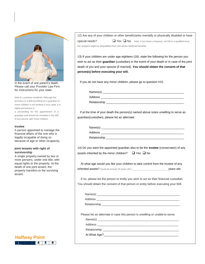

in the event of one parent's death. Please call your Provider Law Firm for instructions for your state.

Note to Louisiana residents: Although the provision in a Will providing for a guardian of minor children is not binding in your state, it is highly persuasive in

a proceeding for the appointment of a guardian and should be included in the Will of any person with minor children.

#### **trustee**

A person appointed to manage the financial affairs of the one who is legally incapable of doing so because of age or other incapacity.

#### **joint tenants with right of survivorship**

A single property owned by two or more persons, under one title, with equal rights to the property. At the death of one joint tenant, the property transfers to the surviving tenant.



12) Are any of your children or other beneficiaries mentally or physically disabled or have special needs? <br> Ves No Note: if you leave a bequest, not left to a qualified trust,

the recipient might be disqualified from SSI and/or Medicaid benefits.

13) If your children are under age eighteen (18), state the following for the person you wish to act as their **guardian** (custodian) in the event of your death or in case of the joint death of you and your spouse (if married). **You should obtain the consent of that person(s) before executing your will.** 

If you do not have any minor children, please go to question #15.

Names(s)

| . $\sim$     |  |  |
|--------------|--|--|
| Address      |  |  |
| Relationship |  |  |
|              |  |  |

 If at the time of your death the person(s) named above is/are unwilling to serve as guardian(custodian), please list an alternate:

| Name(s)      |  |  |
|--------------|--|--|
| Address      |  |  |
| Relationship |  |  |

14) Do you want the appointed guardian also to be the **trustee** (conservator) of any assets inherited by the minor children?  $\Box$  Yes  $\Box$  No

 At what age would you like your children to take control from the trustee of any inherited assets? (must be at least 18 years old.) \_\_\_\_\_\_\_\_\_\_\_\_\_\_\_\_\_\_\_\_\_\_\_\_\_\_\_\_ years old.

 If no, please list the person or entity you wish to act as their financial custodian. You should obtain the consent of that person or entity before executing your Will.

Name(s) \_\_\_\_\_\_\_\_\_\_\_\_\_\_\_\_\_\_\_\_\_\_\_\_\_\_\_\_\_\_\_\_\_\_\_\_\_\_\_\_\_\_\_\_\_\_\_\_\_\_\_ Address **and a set of the set of the set of the set of the set of the set of the set of the set of the set of the set of the set of the set of the set of the set of the set of the set of the set of the set of the set of th** Relationship \_\_\_\_\_\_\_\_\_\_\_\_\_\_\_\_\_\_\_\_\_\_\_\_\_\_\_\_\_\_\_\_\_\_\_\_\_\_\_\_\_\_\_\_\_\_\_\_

Please list an alternate in case this person is unwilling or unable to serve:

 $Name(s)$ 

Address \_\_\_\_\_\_\_\_\_\_\_\_\_\_\_\_\_\_\_\_\_\_\_\_\_\_\_\_\_\_\_\_\_\_\_\_\_\_\_\_\_\_\_\_\_\_\_\_\_\_

Relationship \_\_\_\_\_\_\_\_\_\_\_\_\_\_\_\_\_\_\_\_\_\_\_\_\_\_\_\_\_\_\_\_\_\_\_\_\_\_\_\_\_\_\_\_\_\_\_

At What Age?\_\_\_\_\_\_\_\_\_\_\_\_\_\_\_\_\_\_\_\_\_\_\_\_\_\_\_\_\_\_\_\_\_\_\_\_\_\_\_\_\_\_\_\_\_\_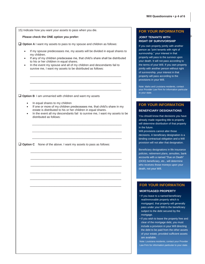| 15) Indicate how you want your assets to pass when you die.                                                                                                                                                                                                                 |
|-----------------------------------------------------------------------------------------------------------------------------------------------------------------------------------------------------------------------------------------------------------------------------|
| Please check the ONE option you prefer:                                                                                                                                                                                                                                     |
| $\Box$ Option A I want my assets to pass to my spouse and children as follows:                                                                                                                                                                                              |
| If my spouse predeceases me, my assets will be divided in equal shares to<br>my children.                                                                                                                                                                                   |
| If any of my children predecease me, that child's share shall be distributed<br>to his or her children in equal shares.<br>In the event my spouse and all of my children and descendants fail to<br>$\bullet$<br>survive me, I want my assets to be distributed as follows: |
| $\Box$ Option B 1 am unmarried with children and want my assets                                                                                                                                                                                                             |
| In equal shares to my children                                                                                                                                                                                                                                              |
| If one or more of my children predeceases me, that child's share in my<br>$\bullet$<br>estate is distributed to his or her children in equal shares.<br>In the event all my descendants fail to survive me, I want my assets to be<br>$\bullet$<br>distributed as follows:  |
|                                                                                                                                                                                                                                                                             |
|                                                                                                                                                                                                                                                                             |
| $\Box$ Option C None of the above. I want my assets to pass as follows:                                                                                                                                                                                                     |
|                                                                                                                                                                                                                                                                             |
|                                                                                                                                                                                                                                                                             |
|                                                                                                                                                                                                                                                                             |
|                                                                                                                                                                                                                                                                             |
|                                                                                                                                                                                                                                                                             |
|                                                                                                                                                                                                                                                                             |
|                                                                                                                                                                                                                                                                             |
|                                                                                                                                                                                                                                                                             |
|                                                                                                                                                                                                                                                                             |
|                                                                                                                                                                                                                                                                             |
|                                                                                                                                                                                                                                                                             |
|                                                                                                                                                                                                                                                                             |
|                                                                                                                                                                                                                                                                             |
|                                                                                                                                                                                                                                                                             |

#### **FOR YOUR INFORMATION**

#### **JOINT TENANTS WITH**  $\frac{3}{2}$ **RIGHT OF SURVIVORSHIP**

If you own property jointly with another person as "joint tenants with right of survivorship," your interest in that property will pass to the survivor upon your death. It will not pass according to the terms of your Will. If you own property jointly with another person without right of survivorship, your interest in that property will pass according to the provisions in your Will.

Note: Idaho and Louisiana residents, contact your Provider Law Firm for information particular to your state.

### **FOR YOUR INFORMATION**

#### **BENEFICIARY DESIGNATIONS**

You should know that decisions you have already made regarding title to property will determine distribution of that property in the future.

Will provisions cannot alter those decisions. A beneficiary designation is a binding contractual obligation and a Will provision will not alter that designation.

Beneficiary designations in life insurance policies, retirement plans, annuities, bank accounts with a named "Due on Death" (DOD) beneficiary, etc., will determine who receives those moneys upon your death, not your Will.

#### **FOR YOUR INFORMATION**

#### **MORTGAGED PROPERTY**

- If you leave to a named beneficiary real/immovable property which is mortgaged, that property will generally pass under your Will to the beneficiary subject to the debt secured by the mortgage.
- If you wish to leave the property free and clear of the mortgage debt, you must include a provision in your Will directing the debt to be paid from the other assets of your estate, provided sufficient assets are available.

Note: Louisiana residents, contact your Provider Law Firm for information particular to your state.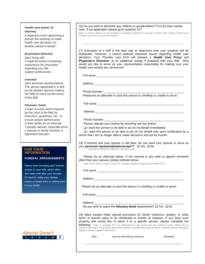#### **health care power of attorney**

A legal document appointing a person the authority to make health care decisions on another person's behalf.

#### **physicians directive**

(also living will) A legal document containing instructions for physicians regarding your lifesupport preferences.

#### **executor**

(also personal representative) The person appointed in a Will by the testator (person making the Will) to carry out the terms of the Will.

#### **fiduciary bond**

A type of surety bond required by the court to be filed by executors, guardians, etc., to ensure proper performance of their duties as an executor. Typically waived, especially when a spouse or family member is appointed executor.

#### **FOR YOUR INFORMATION**

#### **FUNERAL ARRANGEMENTS**

Rather than including your funeral wishes in your Will, which often isn't read until after your funeral, it's best to make your wishes known to loved ones in writing prior to your death.



16) Do you wish to disinherit any children or grandchildren? If so list their names here. If not applicable, please go to question #17

\_\_\_\_\_\_\_\_\_\_\_\_\_\_\_\_\_\_\_\_\_\_\_\_\_\_\_\_\_\_\_\_\_\_\_\_\_\_\_\_\_\_\_\_\_\_\_\_\_\_\_\_\_\_\_\_\_\_\_\_\_\_

Note: In certain states it is not possible to completely disinherit a spouse or minor child. Please contact your Provider Law Firm for more information.

17) Execution of a Will is the best way to determine how your property will be distributed. However, it cannot address important issues regarding health care decisions. Your Provider Law Firm will prepare a **Health Care Proxy** and **Physician's Directive**\* at no additional charge if prepared with your Will. Who would you like to serve as your representative responsible for making sure your health care wishes are carried out?

Full name

Address \_\_\_\_\_\_\_\_\_\_\_\_\_\_\_\_\_\_\_\_\_\_\_\_\_\_\_\_\_\_\_\_\_\_\_\_\_\_\_\_\_\_\_\_\_\_\_\_\_\_\_\_\_\_\_

Phone Number

Please list an alternate in case this person is unwilling or unable to serve:

Full name \_\_\_\_\_\_\_\_\_\_\_\_\_\_\_\_\_\_\_\_\_\_\_\_\_\_\_\_\_\_\_\_\_\_\_\_\_\_\_\_\_\_\_\_\_\_\_\_\_\_\_\_\_

Address \_\_\_\_\_

#### Phone Number

Please indicate your wishes by checking one box below:

 $\Box$  I want this person to be able to act on my behalf immediately

 $\Box$  I want this person to be able to act on my behalf only upon certification by a doctor that I am no longer able to make decisions and act for myself.

18) If married and your spouse is still alive, do you want your spouse to serve as your **personal representative/executor\*?**  $\Box$  Yes  $\Box$  No <br>\* Louisiana & Missouri residents, see back cover.

 Please list an alternate below. If not married or you wish to appoint someone other than your spouse, please indicate below.

Note: If you wish to name a non-U.S. resident, please contact your Provider Firm

Full name **Example 20** and the set of the set of the set of the set of the set of the set of the set of the set of the set of the set of the set of the set of the set of the set of the set of the set of the set of the set

Address \_\_\_\_\_\_\_\_\_\_\_\_\_\_\_\_\_\_\_\_\_\_\_\_\_\_\_\_\_\_\_\_\_\_\_\_\_\_\_\_\_\_\_\_\_\_\_\_\_\_\_\_\_\_\_

Please list an alternate in case this person is unwilling or unable to serve:

Full name

Address \_\_\_\_\_\_\_\_\_\_\_\_\_\_\_\_\_\_\_\_\_\_\_\_\_\_\_\_\_\_\_\_\_\_\_\_\_\_\_\_\_\_\_\_\_\_\_\_\_\_\_\_\_\_\_

Do you wish to waive the **fiduciary bond** requirement?  $\Box$  Yes  $\Box$  No

19) Many people make special provisions for family heirlooms, jewelry, or other items of special value to be distributed to friends or relatives. If you have such property and would like to leave it to a specific person, please complete the following. Note: In question #15 you indicated how you would like your assets to pass. Please fill out question #19 ONLY if you desire items with specific or sentimental value be left to a specific person. (Include a separate sheet of paper if necessary.)

Item Special Identifying Features Recipient

 $\mathcal{L}_\mathcal{L} = \mathcal{L}_\mathcal{L} = \mathcal{L}_\mathcal{L} = \mathcal{L}_\mathcal{L} = \mathcal{L}_\mathcal{L} = \mathcal{L}_\mathcal{L} = \mathcal{L}_\mathcal{L} = \mathcal{L}_\mathcal{L} = \mathcal{L}_\mathcal{L} = \mathcal{L}_\mathcal{L} = \mathcal{L}_\mathcal{L} = \mathcal{L}_\mathcal{L} = \mathcal{L}_\mathcal{L} = \mathcal{L}_\mathcal{L} = \mathcal{L}_\mathcal{L} = \mathcal{L}_\mathcal{L} = \mathcal{L}_\mathcal{L}$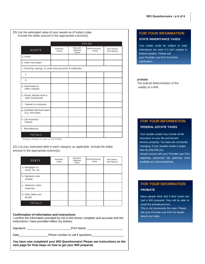20) List the estimated value of your assets as of today's date. Include the dollar amount in the appropriate column(s).

|                                                               |                      |                                | VALUE                     |                             | Your es              |
|---------------------------------------------------------------|----------------------|--------------------------------|---------------------------|-----------------------------|----------------------|
| ASSETS                                                        | Individual<br>Assets | Spouse's<br>Separate<br>Assets | Joint/Community<br>Assets | Joint Assets/<br>Non-Spouse | inherita<br>federal  |
| a. Home                                                       |                      |                                |                           |                             | your Pr              |
| b. Other real estate*                                         |                      |                                |                           |                             | clarifica            |
| c. Checking, savings, or credit union accounts & certificates |                      |                                |                           |                             |                      |
| 1.                                                            |                      |                                |                           |                             |                      |
| 2.                                                            |                      |                                |                           |                             | probate              |
| d. Automobiles &<br><b>Other Vehicles</b>                     |                      |                                |                           |                             | The judi<br>validity |
| e. Stocks, Mutual funds &<br>other investments                |                      |                                |                           |                             |                      |
| f. Interest in a business                                     |                      |                                |                           |                             |                      |
| g. Qualified retirement plans<br>(e.g. 401k plan)             |                      |                                |                           |                             |                      |
| h. Life Insurance<br>Policies                                 |                      |                                |                           |                             | <b>FOR</b>           |
| i. Miscellaneous                                              |                      |                                |                           |                             | <b>FEDE</b>          |
| <b>TOTALS</b>                                                 |                      |                                |                           |                             | Your ta              |

\*Indicate whether in state or out of state.

21) List your estimated debt in each category as applicable. Include the dollar amount in the appropriate column(s).

| DEBTS                              | Individual<br><b>Debts</b> | Spouse's<br>Separate<br><b>Debts</b> | Joint/Community<br>Debts | Joint Debts/<br>Non-Spouse |
|------------------------------------|----------------------------|--------------------------------------|--------------------------|----------------------------|
| a. Mortgages on<br>home, car, etc. |                            |                                      |                          |                            |
| b. Signature Loan<br>at Bank       |                            |                                      |                          |                            |
| c. Medical or other<br>expenses    |                            |                                      |                          |                            |
| d. Other debts over<br>\$5,000     |                            |                                      |                          |                            |
| <b>TOTALS</b>                      |                            |                                      |                          |                            |

#### **Confirmation of information and instructions:**

I confirm the information provided by me in this formis complete and accurate and the instructions I have provided reflect my wishes:

Signature: \_\_\_\_\_\_\_\_\_\_\_\_\_\_\_\_\_\_\_\_\_\_\_\_\_\_\_Print Name: \_\_\_\_\_\_\_\_\_\_\_\_\_\_\_\_\_\_\_\_\_\_

Date\_\_\_\_\_\_\_\_\_\_\_\_\_\_\_\_\_\_\_\_\_\_\_\_\_\_\_\_Phone number to call if questions\_\_\_

**You have now completed your Will Questionnaire! Please see instructions on the next page for final steps on how to get your Will prepared.** 

#### **FOR YOUR INFORMATION STATE INHERITANCE TAXES**

Your estate could be subject to state inheritance  $tax$  even if it isn't subject to federal taxation. Please ask your Provider Law Firm for further clarification.

 The judicial determination of the validity of a Will.

#### **FOR YOUR INFORMATION FEDERAL ESTATE TAXES**

Your taxable estate may include all life insurance on your life and all joint tenancy property. Tax laws are constantly changing. If your taxable estate is larger than \$1,000,000 you

should consult with your Provider Law Firm regarding advanced tax planning tools available at a discountedrate.

#### **FOR YOUR INFORMATION PROBATE**

Many people think that if their loved one had a Will prepared, they will be able to avoid the probateprocess. This is not necessarily the case. Please ask your Provider Law Firm for details about your state.